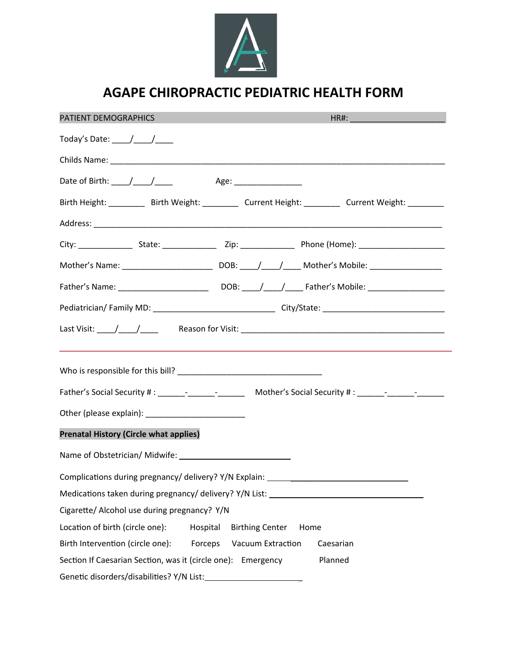

# **AGAPE CHIROPRACTIC PEDIATRIC HEALTH FORM**

| PATIENT DEMOGRAPHICS                                                             |                           |                        | HR#: _________________________ |                                                                                                |  |  |
|----------------------------------------------------------------------------------|---------------------------|------------------------|--------------------------------|------------------------------------------------------------------------------------------------|--|--|
| Today's Date: $\frac{1}{\sqrt{1-\frac{1}{2}}}$                                   |                           |                        |                                |                                                                                                |  |  |
|                                                                                  |                           |                        |                                |                                                                                                |  |  |
| Date of Birth: $\frac{1}{\sqrt{1-\frac{1}{2}}}$                                  | Age: ____________________ |                        |                                |                                                                                                |  |  |
|                                                                                  |                           |                        |                                | Birth Height: _________ Birth Weight: ________ Current Height: _______ Current Weight: _______ |  |  |
|                                                                                  |                           |                        |                                |                                                                                                |  |  |
|                                                                                  |                           |                        |                                |                                                                                                |  |  |
|                                                                                  |                           |                        |                                |                                                                                                |  |  |
|                                                                                  |                           |                        |                                |                                                                                                |  |  |
|                                                                                  |                           |                        |                                |                                                                                                |  |  |
|                                                                                  |                           |                        |                                |                                                                                                |  |  |
|                                                                                  |                           |                        |                                |                                                                                                |  |  |
|                                                                                  |                           |                        |                                |                                                                                                |  |  |
|                                                                                  |                           |                        |                                |                                                                                                |  |  |
| <b>Prenatal History (Circle what applies)</b>                                    |                           |                        |                                |                                                                                                |  |  |
|                                                                                  |                           |                        |                                |                                                                                                |  |  |
| Complications during pregnancy/ delivery? Y/N Explain: _________________________ |                           |                        |                                |                                                                                                |  |  |
| Medications taken during pregnancy/ delivery? Y/N List: ________________________ |                           |                        |                                |                                                                                                |  |  |
| Cigarette/ Alcohol use during pregnancy? Y/N                                     |                           |                        |                                |                                                                                                |  |  |
| Location of birth (circle one):                                                  | Hospital                  | <b>Birthing Center</b> |                                | Home                                                                                           |  |  |
| Birth Intervention (circle one):                                                 | Forceps                   | Vacuum Extraction      |                                | Caesarian                                                                                      |  |  |
| Section If Caesarian Section, was it (circle one): Emergency                     |                           |                        |                                | Planned                                                                                        |  |  |
| Genetic disorders/disabilities? Y/N List:                                        |                           |                        |                                |                                                                                                |  |  |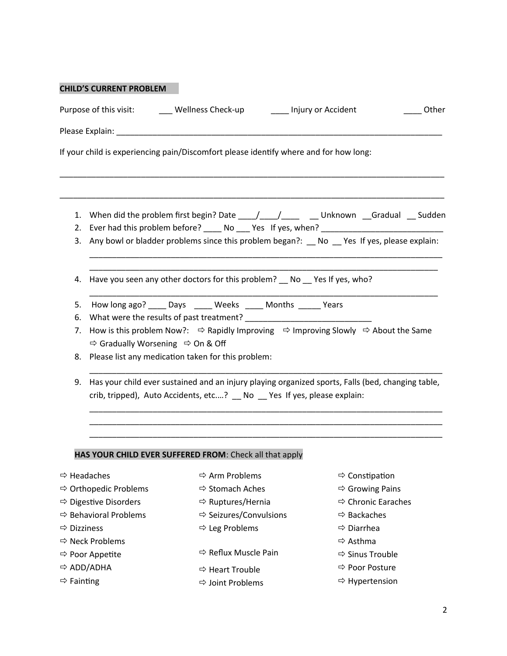|                         | <b>CHILD'S CURRENT PROBLEM</b>                           |                                                                                       |                         |                                                                                                                       |
|-------------------------|----------------------------------------------------------|---------------------------------------------------------------------------------------|-------------------------|-----------------------------------------------------------------------------------------------------------------------|
|                         |                                                          | Purpose of this visit: ________ Wellness Check-up                                     | ____ Injury or Accident | Other                                                                                                                 |
|                         |                                                          |                                                                                       |                         |                                                                                                                       |
|                         |                                                          | If your child is experiencing pain/Discomfort please identify where and for how long: |                         |                                                                                                                       |
| 1.<br>2.                |                                                          |                                                                                       |                         | When did the problem first begin? Date _____/_____/__________Unknown __Gradual ___ Sudden                             |
| 3.                      |                                                          |                                                                                       |                         | Any bowl or bladder problems since this problem began?: __ No __ Yes If yes, please explain:                          |
| 4.                      |                                                          | Have you seen any other doctors for this problem? No Yes If yes, who?                 |                         |                                                                                                                       |
| 5.                      |                                                          | How long ago? _____ Days ______ Weeks ______ Months ______ Years                      |                         |                                                                                                                       |
| 6.                      |                                                          |                                                                                       |                         |                                                                                                                       |
| 7.                      |                                                          |                                                                                       |                         | How is this problem Now?: $\Rightarrow$ Rapidly Improving $\Rightarrow$ Improving Slowly $\Rightarrow$ About the Same |
|                         | $\Rightarrow$ Gradually Worsening $\Rightarrow$ On & Off |                                                                                       |                         |                                                                                                                       |
| 8.                      |                                                          | Please list any medication taken for this problem:                                    |                         |                                                                                                                       |
| 9.                      |                                                          | crib, tripped), Auto Accidents, etc? _ No _ Yes If yes, please explain:               |                         | Has your child ever sustained and an injury playing organized sports, Falls (bed, changing table,                     |
|                         |                                                          | HAS YOUR CHILD EVER SUFFERED FROM: Check all that apply                               |                         |                                                                                                                       |
|                         | $\Rightarrow$ Headaches                                  | $\Rightarrow$ Arm Problems                                                            |                         | $\Rightarrow$ Constipation                                                                                            |
|                         | $\Rightarrow$ Orthopedic Problems                        | <b>⇒ Stomach Aches</b>                                                                |                         | $\Rightarrow$ Growing Pains                                                                                           |
|                         | <b>⇒</b> Digestive Disorders                             | $\Rightarrow$ Ruptures/Hernia                                                         |                         | $\Rightarrow$ Chronic Earaches                                                                                        |
|                         | $\Rightarrow$ Behavioral Problems                        | $\Leftrightarrow$ Seizures/Convulsions                                                |                         | $\Rightarrow$ Backaches                                                                                               |
| $\Rightarrow$ Dizziness |                                                          | $\Rightarrow$ Leg Problems                                                            |                         | $\Rightarrow$ Diarrhea                                                                                                |
|                         | $\Rightarrow$ Neck Problems                              |                                                                                       |                         | $\Rightarrow$ Asthma                                                                                                  |
|                         | $\Rightarrow$ Poor Appetite                              | $\Rightarrow$ Reflux Muscle Pain                                                      |                         | $\Rightarrow$ Sinus Trouble                                                                                           |
|                         | $\Rightarrow$ ADD/ADHA                                   | $\Rightarrow$ Heart Trouble                                                           |                         | ⇒ Poor Posture                                                                                                        |
| $\Rightarrow$ Fainting  |                                                          | $\Rightarrow$ Joint Problems                                                          |                         | $\Rightarrow$ Hypertension                                                                                            |

×

2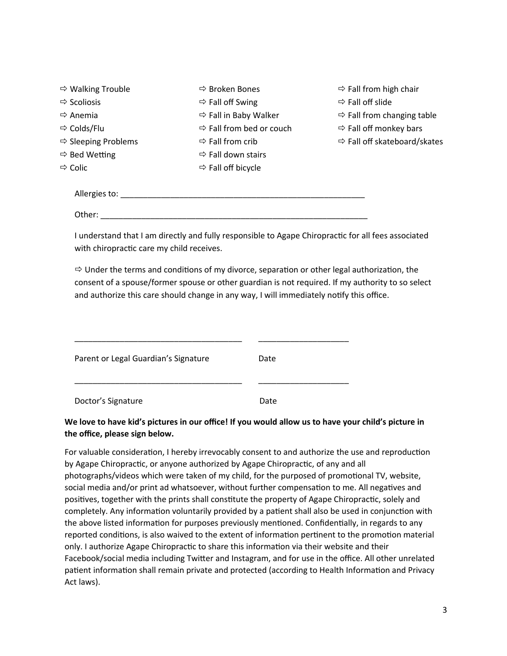| $\Rightarrow$ Walking Trouble   | $\Rightarrow$ Broken Bones           | $\Rightarrow$ Fall from high chair       |
|---------------------------------|--------------------------------------|------------------------------------------|
| $\Rightarrow$ Scoliosis         | $\Rightarrow$ Fall off Swing         | $\Rightarrow$ Fall off slide             |
| $\Rightarrow$ Anemia            | $\Rightarrow$ Fall in Baby Walker    | $\Rightarrow$ Fall from changing table   |
| $\Rightarrow$ Colds/Flu         | $\Rightarrow$ Fall from bed or couch | $\Rightarrow$ Fall off monkey bars       |
| $\Rightarrow$ Sleeping Problems | $\Rightarrow$ Fall from crib         | $\Rightarrow$ Fall off skateboard/skates |
| $\Rightarrow$ Bed Wetting       | $\Rightarrow$ Fall down stairs       |                                          |
| $\Rightarrow$ Colic             | $\Rightarrow$ Fall off bicycle       |                                          |
|                                 |                                      |                                          |
| Allergies to:                   |                                      |                                          |
|                                 |                                      |                                          |

Other: \_\_\_\_\_\_\_\_\_\_\_\_\_\_\_\_\_\_\_\_\_\_\_\_\_\_\_\_\_\_\_\_\_\_\_\_\_\_\_\_\_\_\_\_\_\_\_\_\_\_\_\_\_\_\_\_\_\_\_

I understand that I am directly and fully responsible to Agape Chiropractic for all fees associated with chiropractic care my child receives.

 $\Rightarrow$  Under the terms and conditions of my divorce, separation or other legal authorization, the consent of a spouse/former spouse or other guardian is not required. If my authority to so select and authorize this care should change in any way, I will immediately notify this office.

| Parent or Legal Guardian's Signature | Date |
|--------------------------------------|------|
| Doctor's Signature                   | Date |

### We love to have kid's pictures in our office! If you would allow us to have your child's picture in the office, please sign below.

For valuable consideration, I hereby irrevocably consent to and authorize the use and reproduction by Agape Chiropractic, or anyone authorized by Agape Chiropractic, of any and all photographs/videos which were taken of my child, for the purposed of promotional TV, website, social media and/or print ad whatsoever, without further compensation to me. All negatives and positives, together with the prints shall constitute the property of Agape Chiropractic, solely and completely. Any information voluntarily provided by a patient shall also be used in conjunction with the above listed information for purposes previously mentioned. Confidentially, in regards to any reported conditions, is also waived to the extent of information pertinent to the promotion material only. I authorize Agape Chiropractic to share this information via their website and their Facebook/social media including Twitter and Instagram, and for use in the office. All other unrelated patient information shall remain private and protected (according to Health Information and Privacy Act laws).